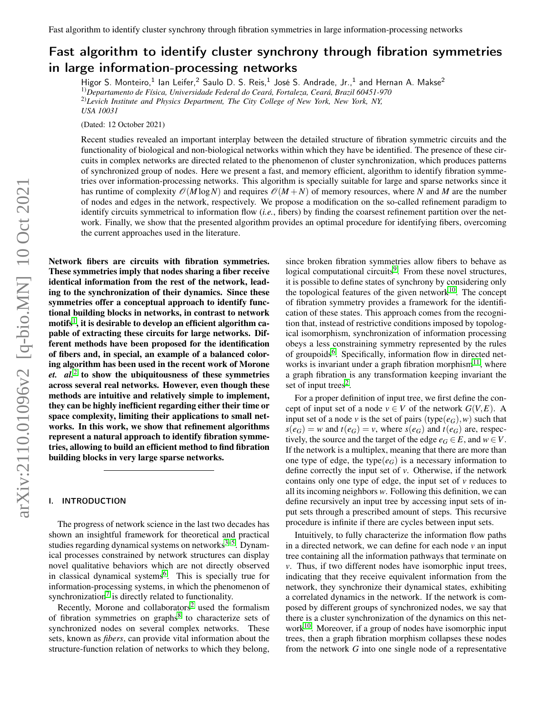# Fast algorithm to identify cluster synchrony through fibration symmetries in large information-processing networks

Higor S. Monteiro,<sup>1</sup> Ian Leifer,<sup>2</sup> Saulo D. S. Reis,<sup>1</sup> José S. Andrade, Jr.,<sup>1</sup> and Hernan A. Makse<sup>2</sup> 1)*Departamento de Física, Universidade Federal do Ceará, Fortaleza, Ceará, Brazil 60451-970* 2)*Levich Institute and Physics Department, The City College of New York, New York, NY, USA 10031*

(Dated: 12 October 2021)

Recent studies revealed an important interplay between the detailed structure of fibration symmetric circuits and the functionality of biological and non-biological networks within which they have be identified. The presence of these circuits in complex networks are directed related to the phenomenon of cluster synchronization, which produces patterns of synchronized group of nodes. Here we present a fast, and memory efficient, algorithm to identify fibration symmetries over information-processing networks. This algorithm is specially suitable for large and sparse networks since it has runtime of complexity  $\mathcal{O}(M \log N)$  and requires  $\mathcal{O}(M + N)$  of memory resources, where N and M are the number of nodes and edges in the network, respectively. We propose a modification on the so-called refinement paradigm to identify circuits symmetrical to information flow (*i.e.*, fibers) by finding the coarsest refinement partition over the network. Finally, we show that the presented algorithm provides an optimal procedure for identifying fibers, overcoming the current approaches used in the literature.

Network fibers are circuits with fibration symmetries. These symmetries imply that nodes sharing a fiber receive identical information from the rest of the network, leading to the synchronization of their dynamics. Since these symmetries offer a conceptual approach to identify functional building blocks in networks, in contrast to network motifs $^1,$  $^1,$  $^1,$  it is desirable to develop an efficient algorithm capable of extracting these circuits for large networks. Different methods have been proposed for the identification of fibers and, in special, an example of a balanced coloring algorithm has been used in the recent work of Morone *et.*  $aL^2$  $aL^2$  to show the ubiquitousness of these symmetries across several real networks. However, even though these methods are intuitive and relatively simple to implement, they can be highly inefficient regarding either their time or space complexity, limiting their applications to small networks. In this work, we show that refinement algorithms represent a natural approach to identify fibration symmetries, allowing to build an efficient method to find fibration building blocks in very large sparse networks.

# I. INTRODUCTION

The progress of network science in the last two decades has shown an insightful framework for theoretical and practical studies regarding dynamical systems on networks $3-5$  $3-5$ . Dynamical processes constrained by network structures can display novel qualitative behaviors which are not directly observed in classical dynamical systems<sup>[6](#page-11-4)</sup>. This is specially true for information-processing systems, in which the phenomenon of synchronization<sup>[7](#page-11-5)</sup> is directly related to functionality.

Recently, Morone and collaborators<sup>[2](#page-11-1)</sup> used the formalism of fibration symmetries on graphs<sup>[8](#page-11-6)</sup> to characterize sets of synchronized nodes on several complex networks. These sets, known as *fibers*, can provide vital information about the structure-function relation of networks to which they belong,

since broken fibration symmetries allow fibers to behave as logical computational circuits<sup>[9](#page-11-7)</sup>. From these novel structures, it is possible to define states of synchrony by considering only the topological features of the given network $10$ . The concept of fibration symmetry provides a framework for the identification of these states. This approach comes from the recognition that, instead of restrictive conditions imposed by topological isomorphism, synchronization of information processing obeys a less constraining symmetry represented by the rules of groupoids<sup>[6](#page-11-4)</sup>. Specifically, information flow in directed net-works is invariant under a graph fibration morphism<sup>[11](#page-12-1)</sup>, where a graph fibration is any transformation keeping invariant the set of input trees<sup>[2](#page-11-1)</sup>.

For a proper definition of input tree, we first define the concept of input set of a node  $v \in V$  of the network  $G(V, E)$ . A input set of a node *v* is the set of pairs (type( $e_G$ ), *w*) such that  $s(e_G) = w$  and  $t(e_G) = v$ , where  $s(e_G)$  and  $t(e_G)$  are, respectively, the source and the target of the edge  $e_G \in E$ , and  $w \in V$ . If the network is a multiplex, meaning that there are more than one type of edge, the type $(e_G)$  is a necessary information to define correctly the input set of *v*. Otherwise, if the network contains only one type of edge, the input set of *v* reduces to all its incoming neighbors *w*. Following this definition, we can define recursively an input tree by accessing input sets of input sets through a prescribed amount of steps. This recursive procedure is infinite if there are cycles between input sets.

Intuitively, to fully characterize the information flow paths in a directed network, we can define for each node *v* an input tree containing all the information pathways that terminate on *v*. Thus, if two different nodes have isomorphic input trees, indicating that they receive equivalent information from the network, they synchronize their dynamical states, exhibiting a correlated dynamics in the network. If the network is composed by different groups of synchronized nodes, we say that there is a cluster synchronization of the dynamics on this network $10$ . Moreover, if a group of nodes have isomorphic input trees, then a graph fibration morphism collapses these nodes from the network *G* into one single node of a representative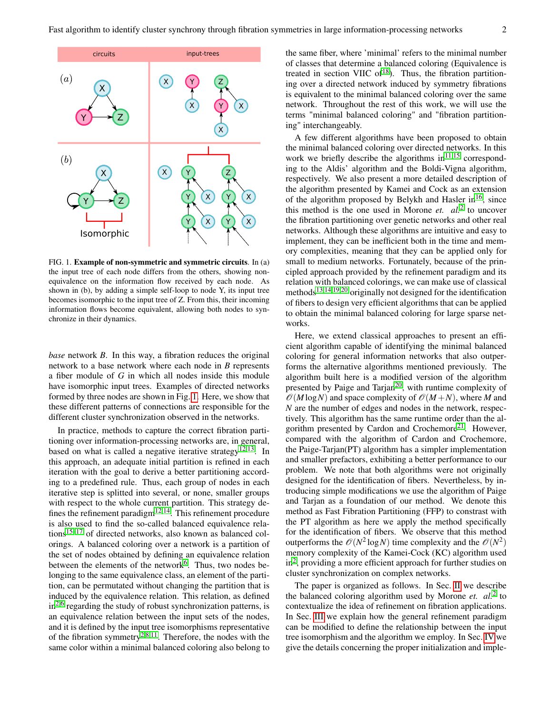

<span id="page-1-0"></span>FIG. 1. Example of non-symmetric and symmetric circuits. In (a) the input tree of each node differs from the others, showing nonequivalence on the information flow received by each node. As shown in (b), by adding a simple self-loop to node Y, its input tree becomes isomorphic to the input tree of Z. From this, their incoming information flows become equivalent, allowing both nodes to synchronize in their dynamics.

*base* network *B*. In this way, a fibration reduces the original network to a base network where each node in *B* represents a fiber module of *G* in which all nodes inside this module have isomorphic input trees. Examples of directed networks formed by three nodes are shown in Fig. [1.](#page-1-0) Here, we show that these different patterns of connections are responsible for the different cluster synchronization observed in the networks.

In practice, methods to capture the correct fibration partitioning over information-processing networks are, in general, based on what is called a negative iterative strategy<sup>[12](#page-12-2)[,13](#page-12-3)</sup>. In this approach, an adequate initial partition is refined in each iteration with the goal to derive a better partitioning according to a predefined rule. Thus, each group of nodes in each iterative step is splitted into several, or none, smaller groups with respect to the whole current partition. This strategy defines the refinement paradigm $12,14$  $12,14$ . This refinement procedure is also used to find the so-called balanced equivalence relations $15-17$  $15-17$  of directed networks, also known as balanced colorings. A balanced coloring over a network is a partition of the set of nodes obtained by defining an equivalence relation between the elements of the network<sup>[6](#page-11-4)</sup>. Thus, two nodes belonging to the same equivalence class, an element of the partition, can be permutated without changing the partition that is induced by the equivalence relation. This relation, as defined  $in<sup>2,6</sup>$  $in<sup>2,6</sup>$  $in<sup>2,6</sup>$  $in<sup>2,6</sup>$  regarding the study of robust synchronization patterns, is an equivalence relation between the input sets of the nodes, and it is defined by the input tree isomorphisms representative of the fibration symmetry<sup>[2,](#page-11-1)[8](#page-11-6)[,11](#page-12-1)</sup>. Therefore, the nodes with the same color within a minimal balanced coloring also belong to the same fiber, where 'minimal' refers to the minimal number of classes that determine a balanced coloring (Equivalence is treated in section VIIC of $18$ ). Thus, the fibration partitioning over a directed network induced by symmetry fibrations is equivalent to the minimal balanced coloring over the same network. Throughout the rest of this work, we will use the terms "minimal balanced coloring" and "fibration partitioning" interchangeably.

A few different algorithms have been proposed to obtain the minimal balanced coloring over directed networks. In this work we briefly describe the algorithms  $in$ <sup>[11,](#page-12-1)[15](#page-12-5)</sup> corresponding to the Aldis' algorithm and the Boldi-Vigna algorithm, respectively. We also present a more detailed description of the algorithm presented by Kamei and Cock as an extension of the algorithm proposed by Belykh and Hasler in<sup>[16](#page-12-8)</sup>, since this method is the one used in Morone *et. al.*[2](#page-11-1) to uncover the fibration partitioning over genetic networks and other real networks. Although these algorithms are intuitive and easy to implement, they can be inefficient both in the time and memory complexities, meaning that they can be applied only for small to medium networks. Fortunately, because of the principled approach provided by the refinement paradigm and its relation with balanced colorings, we can make use of classical methods<sup>[13](#page-12-3)[,14](#page-12-4)[,19](#page-12-9)[,20](#page-12-10)</sup> originally not designed for the identification of fibers to design very efficient algorithms that can be applied to obtain the minimal balanced coloring for large sparse networks.

Here, we extend classical approaches to present an efficient algorithm capable of identifying the minimal balanced coloring for general information networks that also outperforms the alternative algorithms mentioned previously. The algorithm built here is a modified version of the algorithm presented by Paige and Tarjan<sup>[20](#page-12-10)</sup>, with runtime complexity of  $\mathcal{O}(M \log N)$  and space complexity of  $\mathcal{O}(M+N)$ , where M and *N* are the number of edges and nodes in the network, respectively. This algorithm has the same runtime order than the al-gorithm presented by Cardon and Crochemore<sup>[21](#page-12-11)</sup>. However, compared with the algorithm of Cardon and Crochemore, the Paige-Tarjan(PT) algorithm has a simpler implementation and smaller prefactors, exhibiting a better performance to our problem. We note that both algorithms were not originally designed for the identification of fibers. Nevertheless, by introducing simple modifications we use the algorithm of Paige and Tarjan as a foundation of our method. We denote this method as Fast Fibration Partitioning (FFP) to constrast with the PT algorithm as here we apply the method specifically for the identification of fibers. We observe that this method outperforms the  $\mathcal{O}(N^2 \log N)$  time complexity and the  $\mathcal{O}(N^2)$ memory complexity of the Kamei-Cock (KC) algorithm used in[2](#page-11-1) , providing a more efficient approach for further studies on cluster synchronization on complex networks.

The paper is organized as follows. In Sec. [II](#page-2-0) we describe the balanced coloring algorithm used by Morone *et. al.*[2](#page-11-1) to contextualize the idea of refinement on fibration applications. In Sec. [III](#page-3-0) we explain how the general refinement paradigm can be modified to define the relationship between the input tree isomorphism and the algorithm we employ. In Sec. [IV](#page-6-0) we give the details concerning the proper initialization and imple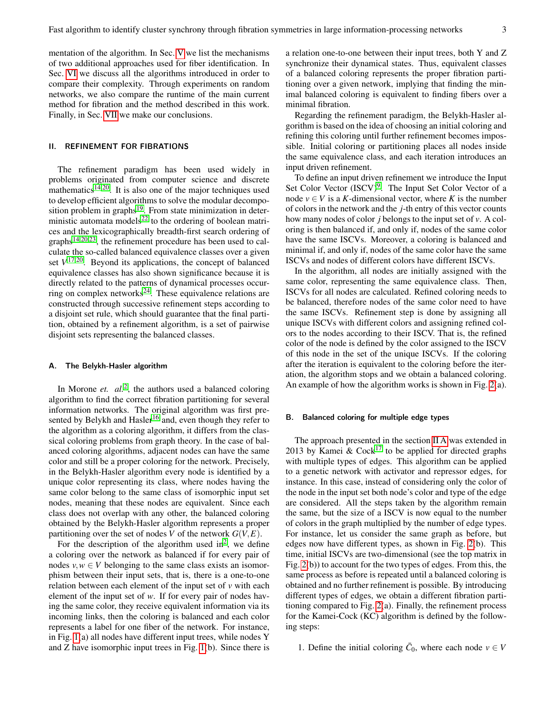mentation of the algorithm. In Sec. [V](#page-7-0) we list the mechanisms of two additional approaches used for fiber identification. In Sec. [VI](#page-9-0) we discuss all the algorithms introduced in order to compare their complexity. Through experiments on random networks, we also compare the runtime of the main current method for fibration and the method described in this work. Finally, in Sec. [VII](#page-11-8) we make our conclusions.

## <span id="page-2-0"></span>II. REFINEMENT FOR FIBRATIONS

The refinement paradigm has been used widely in problems originated from computer science and discrete mathematics<sup>[14,](#page-12-4)[20](#page-12-10)</sup>. It is also one of the major techniques used to develop efficient algorithms to solve the modular decomposition problem in graphs $19$ . From state minimization in deterministic automata models $^{22}$  $^{22}$  $^{22}$  to the ordering of boolean matrices and the lexicographically breadth-first search ordering of graphs[14,](#page-12-4)[20](#page-12-10)[,23](#page-12-13), the refinement procedure has been used to calculate the so-called balanced equivalence classes over a given set  $V^{17,20}$  $V^{17,20}$  $V^{17,20}$  $V^{17,20}$ . Beyond its applications, the concept of balanced equivalence classes has also shown significance because it is directly related to the patterns of dynamical processes occur-ring on complex networks<sup>[24](#page-12-14)</sup>. These equivalence relations are constructed through successive refinement steps according to a disjoint set rule, which should guarantee that the final partition, obtained by a refinement algorithm, is a set of pairwise disjoint sets representing the balanced classes.

#### <span id="page-2-1"></span>A. The Belykh-Hasler algorithm

In Morone *et. al.*<sup>[2](#page-11-1)</sup>, the authors used a balanced coloring algorithm to find the correct fibration partitioning for several information networks. The original algorithm was first pre-sented by Belykh and Hasler<sup>[16](#page-12-8)</sup> and, even though they refer to the algorithm as a coloring algorithm, it differs from the classical coloring problems from graph theory. In the case of balanced coloring algorithms, adjacent nodes can have the same color and still be a proper coloring for the network. Precisely, in the Belykh-Hasler algorithm every node is identified by a unique color representing its class, where nodes having the same color belong to the same class of isomorphic input set nodes, meaning that these nodes are equivalent. Since each class does not overlap with any other, the balanced coloring obtained by the Belykh-Hasler algorithm represents a proper partitioning over the set of nodes *V* of the network  $G(V, E)$ .

For the description of the algorithm used in<sup>[2](#page-11-1)</sup>, we define a coloring over the network as balanced if for every pair of nodes  $v, w \in V$  belonging to the same class exists an isomorphism between their input sets, that is, there is a one-to-one relation between each element of the input set of *v* with each element of the input set of *w*. If for every pair of nodes having the same color, they receive equivalent information via its incoming links, then the coloring is balanced and each color represents a label for one fiber of the network. For instance, in Fig. [1\(](#page-1-0)a) all nodes have different input trees, while nodes Y and Z have isomorphic input trees in Fig. [1\(](#page-1-0)b). Since there is

a relation one-to-one between their input trees, both Y and Z synchronize their dynamical states. Thus, equivalent classes of a balanced coloring represents the proper fibration partitioning over a given network, implying that finding the minimal balanced coloring is equivalent to finding fibers over a minimal fibration.

Regarding the refinement paradigm, the Belykh-Hasler algorithm is based on the idea of choosing an initial coloring and refining this coloring until further refinement becomes impossible. Initial coloring or partitioning places all nodes inside the same equivalence class, and each iteration introduces an input driven refinement.

To define an input driven refinement we introduce the Input Set Color Vector (ISCV)<sup>[9](#page-11-7)</sup>. The Input Set Color Vector of a node  $v \in V$  is a *K*-dimensional vector, where *K* is the number of colors in the network and the *j*-th entry of this vector counts how many nodes of color *j* belongs to the input set of *v*. A coloring is then balanced if, and only if, nodes of the same color have the same ISCVs. Moreover, a coloring is balanced and minimal if, and only if, nodes of the same color have the same ISCVs and nodes of different colors have different ISCVs.

In the algorithm, all nodes are initially assigned with the same color, representing the same equivalence class. Then, ISCVs for all nodes are calculated. Refined coloring needs to be balanced, therefore nodes of the same color need to have the same ISCVs. Refinement step is done by assigning all unique ISCVs with different colors and assigning refined colors to the nodes according to their ISCV. That is, the refined color of the node is defined by the color assigned to the ISCV of this node in the set of the unique ISCVs. If the coloring after the iteration is equivalent to the coloring before the iteration, the algorithm stops and we obtain a balanced coloring. An example of how the algorithm works is shown in Fig. [2\(](#page-3-1)a).

#### B. Balanced coloring for multiple edge types

The approach presented in the section [II A](#page-2-1) was extended in 2013 by Kamei & Cock<sup>[17](#page-12-6)</sup> to be applied for directed graphs with multiple types of edges. This algorithm can be applied to a genetic network with activator and repressor edges, for instance. In this case, instead of considering only the color of the node in the input set both node's color and type of the edge are considered. All the steps taken by the algorithm remain the same, but the size of a ISCV is now equal to the number of colors in the graph multiplied by the number of edge types. For instance, let us consider the same graph as before, but edges now have different types, as shown in Fig. [2\(](#page-3-1)b). This time, initial ISCVs are two-dimensional (see the top matrix in Fig. [2\(](#page-3-1)b)) to account for the two types of edges. From this, the same process as before is repeated until a balanced coloring is obtained and no further refinement is possible. By introducing different types of edges, we obtain a different fibration partitioning compared to Fig. [2\(](#page-3-1)a). Finally, the refinement process for the Kamei-Cock (KC) algorithm is defined by the following steps:

1. Define the initial coloring  $\bar{C}_0$ , where each node  $v \in V$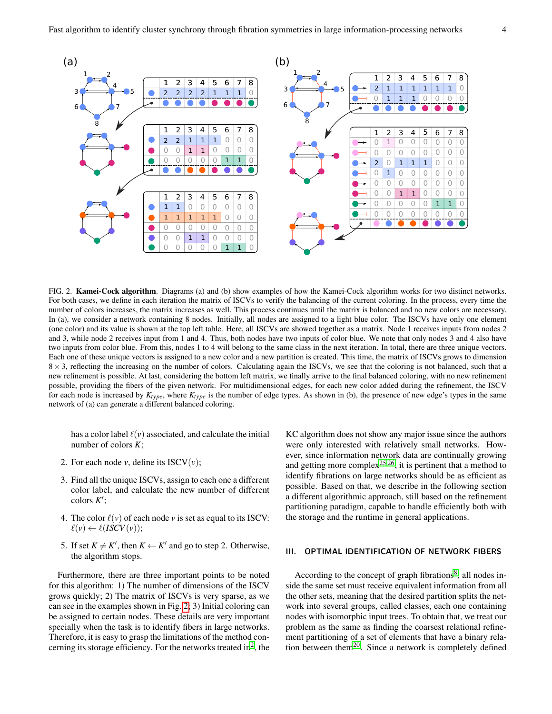

<span id="page-3-1"></span>FIG. 2. Kamei-Cock algorithm. Diagrams (a) and (b) show examples of how the Kamei-Cock algorithm works for two distinct networks. For both cases, we define in each iteration the matrix of ISCVs to verify the balancing of the current coloring. In the process, every time the number of colors increases, the matrix increases as well. This process continues until the matrix is balanced and no new colors are necessary. In (a), we consider a network containing 8 nodes. Initially, all nodes are assigned to a light blue color. The ISCVs have only one element (one color) and its value is shown at the top left table. Here, all ISCVs are showed together as a matrix. Node 1 receives inputs from nodes 2 and 3, while node 2 receives input from 1 and 4. Thus, both nodes have two inputs of color blue. We note that only nodes 3 and 4 also have two inputs from color blue. From this, nodes 1 to 4 will belong to the same class in the next iteration. In total, there are three unique vectors. Each one of these unique vectors is assigned to a new color and a new partition is created. This time, the matrix of ISCVs grows to dimension  $8 \times 3$ , reflecting the increasing on the number of colors. Calculating again the ISCVs, we see that the coloring is not balanced, such that a new refinement is possible. At last, considering the bottom left matrix, we finally arrive to the final balanced coloring, with no new refinement possible, providing the fibers of the given network. For multidimensional edges, for each new color added during the refinement, the ISCV for each node is increased by *Ktype*, where *Ktype* is the number of edge types. As shown in (b), the presence of new edge's types in the same network of (a) can generate a different balanced coloring.

has a color label  $\ell(v)$  associated, and calculate the initial number of colors *K*;

- 2. For each node  $v$ , define its  $ISCV(v)$ ;
- 3. Find all the unique ISCVs, assign to each one a different color label, and calculate the new number of different colors  $K'$ ;
- 4. The color  $\ell(v)$  of each node *v* is set as equal to its ISCV:  $\ell(v) \leftarrow \ell (ISCV(v));$
- 5. If set  $K \neq K'$ , then  $K \leftarrow K'$  and go to step 2. Otherwise, the algorithm stops.

Furthermore, there are three important points to be noted for this algorithm: 1) The number of dimensions of the ISCV grows quickly; 2) The matrix of ISCVs is very sparse, as we can see in the examples shown in Fig. [2;](#page-3-1) 3) Initial coloring can be assigned to certain nodes. These details are very important specially when the task is to identify fibers in large networks. Therefore, it is easy to grasp the limitations of the method con-cerning its storage efficiency. For the networks treated in<sup>[2](#page-11-1)</sup>, the

KC algorithm does not show any major issue since the authors were only interested with relatively small networks. However, since information network data are continually growing and getting more complex<sup>[25](#page-12-15)[,26](#page-12-16)</sup>, it is pertinent that a method to identify fibrations on large networks should be as efficient as possible. Based on that, we describe in the following section a different algorithmic approach, still based on the refinement partitioning paradigm, capable to handle efficiently both with the storage and the runtime in general applications.

## <span id="page-3-0"></span>III. OPTIMAL IDENTIFICATION OF NETWORK FIBERS

According to the concept of graph fibrations<sup>[8](#page-11-6)</sup>, all nodes inside the same set must receive equivalent information from all the other sets, meaning that the desired partition splits the network into several groups, called classes, each one containing nodes with isomorphic input trees. To obtain that, we treat our problem as the same as finding the coarsest relational refinement partitioning of a set of elements that have a binary relation between them[20](#page-12-10). Since a network is completely defined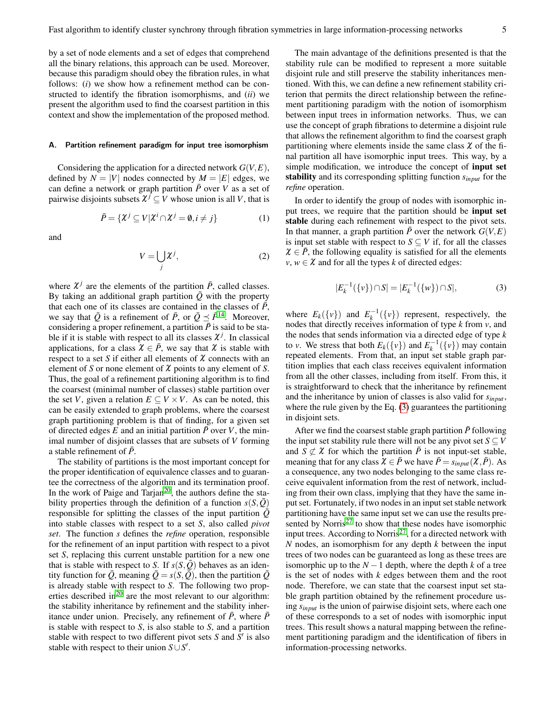by a set of node elements and a set of edges that comprehend all the binary relations, this approach can be used. Moreover, because this paradigm should obey the fibration rules, in what follows: (*i*) we show how a refinement method can be constructed to identify the fibration isomorphisms, and (*ii*) we present the algorithm used to find the coarsest partition in this context and show the implementation of the proposed method.

#### <span id="page-4-1"></span>A. Partition refinement paradigm for input tree isomorphism

Considering the application for a directed network *G*(*V*,*E*), defined by  $N = |V|$  nodes connected by  $M = |E|$  edges, we can define a network or graph partition  $\bar{P}$  over *V* as a set of pairwise disjoints subsets  $\chi^{j} \subseteq V$  whose union is all *V*, that is

$$
\bar{P} = \{ \mathcal{X}^j \subseteq V | \mathcal{X}^i \cap \mathcal{X}^j = \emptyset, i \neq j \}
$$
(1)

and

$$
V = \bigcup_{j} \mathcal{X}^{j},\tag{2}
$$

where  $\chi^{j}$  are the elements of the partition  $\bar{P}$ , called classes. By taking an additional graph partition  $\overline{Q}$  with the property that each one of its classes are contained in the classes of  $\bar{P}$ , we say that  $\overline{Q}$  is a refinement of  $\overline{P}$ , or  $\overline{Q} \preceq \overline{P}^{14}$  $\overline{Q} \preceq \overline{P}^{14}$  $\overline{Q} \preceq \overline{P}^{14}$ . Moreover, considering a proper refinement, a partition  $\bar{P}$  is said to be stable if it is stable with respect to all its classes  $\chi^{j}$ . In classical applications, for a class  $\chi \in \overline{P}$ , we say that  $\chi$  is stable with respect to a set *S* if either all elements of  $\chi$  connects with an element of *S* or none element of  $\chi$  points to any element of *S*. Thus, the goal of a refinement partitioning algorithm is to find the coarsest (minimal number of classes) stable partition over the set *V*, given a relation  $E \subseteq V \times V$ . As can be noted, this can be easily extended to graph problems, where the coarsest graph partitioning problem is that of finding, for a given set of directed edges  $E$  and an initial partition  $\bar{P}$  over *V*, the minimal number of disjoint classes that are subsets of *V* forming a stable refinement of *P*.

The stability of partitions is the most important concept for the proper identification of equivalence classes and to guarantee the correctness of the algorithm and its termination proof. In the work of Paige and Tarjan<sup>[20](#page-12-10)</sup>, the authors define the stability properties through the definition of a function  $s(S,\bar{Q})$ responsible for splitting the classes of the input partition  $\overline{Q}$ into stable classes with respect to a set *S*, also called *pivot set*. The function *s* defines the *refine* operation, responsible for the refinement of an input partition with respect to a pivot set *S*, replacing this current unstable partition for a new one that is stable with respect to *S*. If  $s(S, \overline{Q})$  behaves as an identity function for  $\overline{Q}$ , meaning  $\overline{Q} = s(S, \overline{Q})$ , then the partition  $\overline{Q}$ is already stable with respect to *S*. The following two properties described in $^{20}$  $^{20}$  $^{20}$  are the most relevant to our algorithm: the stability inheritance by refinement and the stability inheritance under union. Precisely, any refinement of  $\overline{P}$ , where  $\overline{P}$ is stable with respect to *S*, is also stable to *S*, and a partition stable with respect to two different pivot sets  $S$  and  $S'$  is also stable with respect to their union  $S \cup S'$ .

The main advantage of the definitions presented is that the stability rule can be modified to represent a more suitable disjoint rule and still preserve the stability inheritances mentioned. With this, we can define a new refinement stability criterion that permits the direct relationship between the refinement partitioning paradigm with the notion of isomorphism between input trees in information networks. Thus, we can use the concept of graph fibrations to determine a disjoint rule that allows the refinement algorithm to find the coarsest graph partitioning where elements inside the same class  $\chi$  of the final partition all have isomorphic input trees. This way, by a simple modification, we introduce the concept of input set stability and its corresponding splitting function *sinput* for the *refine* operation.

In order to identify the group of nodes with isomorphic input trees, we require that the partition should be input set stable during each refinement with respect to the pivot sets. In that manner, a graph partition  $\bar{P}$  over the network  $G(V, E)$ is input set stable with respect to  $S \subseteq V$  if, for all the classes  $\chi \in \overline{P}$ , the following equality is satisfied for all the elements  $v, w \in \mathcal{X}$  and for all the types *k* of directed edges:

<span id="page-4-0"></span>
$$
|E_k^{-1}(\{v\}) \cap S| = |E_k^{-1}(\{w\}) \cap S|,
$$
 (3)

where  $E_k({v})$  and  $E_k^{-1}({v})$  represent, respectively, the nodes that directly receives information of type *k* from *v*, and the nodes that sends information via a directed edge of type *k* to *v*. We stress that both  $E_k({v})$  and  $E_k^{-1}({v})$  may contain repeated elements. From that, an input set stable graph partition implies that each class receives equivalent information from all the other classes, including from itself. From this, it is straightforward to check that the inheritance by refinement and the inheritance by union of classes is also valid for *sinput*, where the rule given by the Eq. [\(3\)](#page-4-0) guarantees the partitioning in disjoint sets.

After we find the coarsest stable graph partition  $\bar{P}$  following the input set stability rule there will not be any pivot set  $S \subseteq V$ and *S*  $\not\subset$  *X* for which the partition  $\overline{P}$  is not input-set stable, meaning that for any class  $\mathcal{X} \in \overline{P}$  we have  $\overline{P} = s_{input}(\mathcal{X}, \overline{P})$ . As a consequence, any two nodes belonging to the same class receive equivalent information from the rest of network, including from their own class, implying that they have the same input set. Fortunately, if two nodes in an input set stable network partitioning have the same input set we can use the results presented by Norris $27$  to show that these nodes have isomorphic input trees. According to Norris<sup>[27](#page-12-17)</sup>, for a directed network with *N* nodes, an isomorphism for any depth *k* between the input trees of two nodes can be guaranteed as long as these trees are isomorphic up to the  $N-1$  depth, where the depth  $k$  of a tree is the set of nodes with *k* edges between them and the root node. Therefore, we can state that the coarsest input set stable graph partition obtained by the refinement procedure using *sinput* is the union of pairwise disjoint sets, where each one of these corresponds to a set of nodes with isomorphic input trees. This result shows a natural mapping between the refinement partitioning paradigm and the identification of fibers in information-processing networks.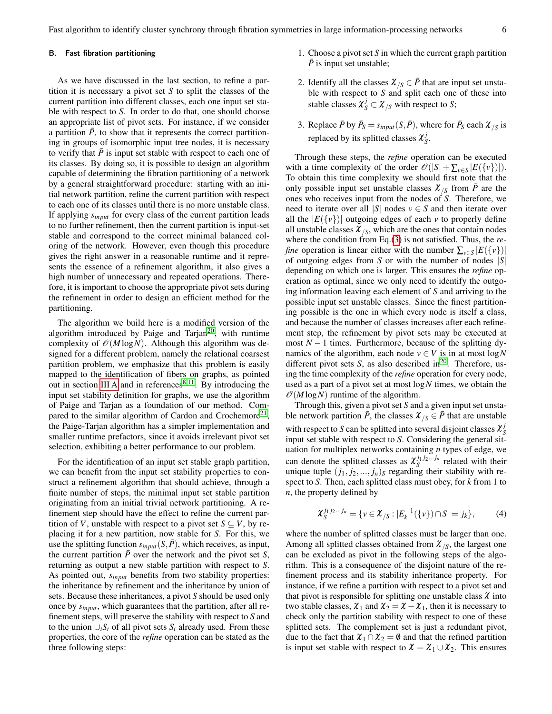Fast algorithm to identify cluster synchrony through fibration symmetries in large information-processing networks 6

## B. Fast fibration partitioning

As we have discussed in the last section, to refine a partition it is necessary a pivot set *S* to split the classes of the current partition into different classes, each one input set stable with respect to *S*. In order to do that, one should choose an appropriate list of pivot sets. For instance, if we consider a partition  $\bar{P}$ , to show that it represents the correct partitioning in groups of isomorphic input tree nodes, it is necessary to verify that  $\bar{P}$  is input set stable with respect to each one of its classes. By doing so, it is possible to design an algorithm capable of determining the fibration partitioning of a network by a general straightforward procedure: starting with an initial network partition, refine the current partition with respect to each one of its classes until there is no more unstable class. If applying *sinput* for every class of the current partition leads to no further refinement, then the current partition is input-set stable and correspond to the correct minimal balanced coloring of the network. However, even though this procedure gives the right answer in a reasonable runtime and it represents the essence of a refinement algorithm, it also gives a high number of unnecessary and repeated operations. Therefore, it is important to choose the appropriate pivot sets during the refinement in order to design an efficient method for the partitioning.

The algorithm we build here is a modified version of the algorithm introduced by Paige and Tarjan<sup>[20](#page-12-10)</sup>, with runtime complexity of  $\mathcal{O}(M \log N)$ . Although this algorithm was designed for a different problem, namely the relational coarsest partition problem, we emphasize that this problem is easily mapped to the identification of fibers on graphs, as pointed out in section [III A](#page-4-1) and in references<sup>[8](#page-11-6)[,11](#page-12-1)</sup>. By introducing the input set stability definition for graphs, we use the algorithm of Paige and Tarjan as a foundation of our method. Com-pared to the similar algorithm of Cardon and Crochemore<sup>[21](#page-12-11)</sup>, the Paige-Tarjan algorithm has a simpler implementation and smaller runtime prefactors, since it avoids irrelevant pivot set selection, exhibiting a better performance to our problem.

For the identification of an input set stable graph partition, we can benefit from the input set stability properties to construct a refinement algorithm that should achieve, through a finite number of steps, the minimal input set stable partition originating from an initial trivial network partitioning. A refinement step should have the effect to refine the current partition of *V*, unstable with respect to a pivot set  $S \subseteq V$ , by replacing it for a new partition, now stable for *S*. For this, we use the splitting function  $s_{input}(S, \overline{P})$ , which receives, as input, the current partition  $\bar{P}$  over the network and the pivot set *S*, returning as output a new stable partition with respect to *S*. As pointed out, *sinput* benefits from two stability properties: the inheritance by refinement and the inheritance by union of sets. Because these inheritances, a pivot *S* should be used only once by *sinput*, which guarantees that the partition, after all refinement steps, will preserve the stability with respect to *S* and to the union  $\bigcup_i S_i$  of all pivot sets  $S_i$  already used. From these properties, the core of the *refine* operation can be stated as the three following steps:

- 1. Choose a pivot set *S* in which the current graph partition  $\overline{P}$  is input set unstable;
- 2. Identify all the classes  $\mathcal{X}_{\textit{S}} \in \overline{P}$  that are input set unstable with respect to *S* and split each one of these into stable classes  $\chi^j_S \subset \chi^j_{/S}$  with respect to *S*;
- 3. Replace  $\bar{P}$  by  $\bar{P}_S = s_{input}(S, \bar{P})$ , where for  $\bar{P}_S$  each  $\mathcal{X}_{/S}$  is replaced by its splitted classes  $\mathcal{X}_{\mathcal{S}}^j$ *S* .

Through these steps, the *refine* operation can be executed with a time complexity of the order  $\mathcal{O}(|S| + \sum_{v \in S} |E(\{v\})|)$ . To obtain this time complexity we should first note that the only possible input set unstable classes  $\chi_{\beta}$  from  $\bar{P}$  are the ones who receives input from the nodes of *S*. Therefore, we need to iterate over all  $|S|$  nodes  $v \in S$  and then iterate over all the  $|E({v})|$  outgoing edges of each *v* to properly define all unstable classes  $\mathcal{X}_{/S}$ , which are the ones that contain nodes where the condition from Eq.[\(3\)](#page-4-0) is not satisfied. Thus, the *refine* operation is linear either with the number  $\sum_{v \in S} |E(\{v\})|$ of outgoing edges from *S* or with the number of nodes |*S*| depending on which one is larger. This ensures the *refine* operation as optimal, since we only need to identify the outgoing information leaving each element of *S* and arriving to the possible input set unstable classes. Since the finest partitioning possible is the one in which every node is itself a class, and because the number of classes increases after each refinement step, the refinement by pivot sets may be executed at most  $N-1$  times. Furthermore, because of the splitting dynamics of the algorithm, each node  $v \in V$  is in at most  $log N$ different pivot sets *S*, as also described in<sup>[20](#page-12-10)</sup>. Therefore, using the time complexity of the *refine* operation for every node, used as a part of a pivot set at most log*N* times, we obtain the  $\mathcal{O}(M \log N)$  runtime of the algorithm.

Through this, given a pivot set *S* and a given input set unstable network partition  $\bar{P}$ , the classes  $\mathcal{X}_{\beta} \in \bar{P}$  that are unstable with respect to *S* can be splitted into several disjoint classes  $\chi^j_{\rm S}$ *S* input set stable with respect to *S*. Considering the general situation for multiplex networks containing *n* types of edge, we can denote the splitted classes as  $\chi_S^{j_1 j_2...j_n}$  related with their unique tuple  $(j_1, j_2, \ldots, j_n)$ <sub>S</sub> regarding their stability with respect to *S*. Then, each splitted class must obey, for *k* from 1 to *n*, the property defined by

<span id="page-5-0"></span>
$$
\chi_S^{j_1 j_2 \dots j_n} = \{ v \in \mathcal{X}_{/S} : |E_k^{-1}(\{v\}) \cap S| = j_k \},\tag{4}
$$

where the number of splitted classes must be larger than one. Among all splitted classes obtained from  $\mathcal{X}_{/S}$ , the largest one can be excluded as pivot in the following steps of the algorithm. This is a consequence of the disjoint nature of the refinement process and its stability inheritance property. For instance, if we refine a partition with respect to a pivot set and that pivot is responsible for splitting one unstable class  $\chi$  into two stable classes,  $\chi_1$  and  $\chi_2 = \chi - \chi_1$ , then it is necessary to check only the partition stability with respect to one of these splitted sets. The complement set is just a redundant pivot, due to the fact that  $\mathcal{X}_1 \cap \mathcal{X}_2 = \emptyset$  and that the refined partition is input set stable with respect to  $\chi = \chi_1 \cup \chi_2$ . This ensures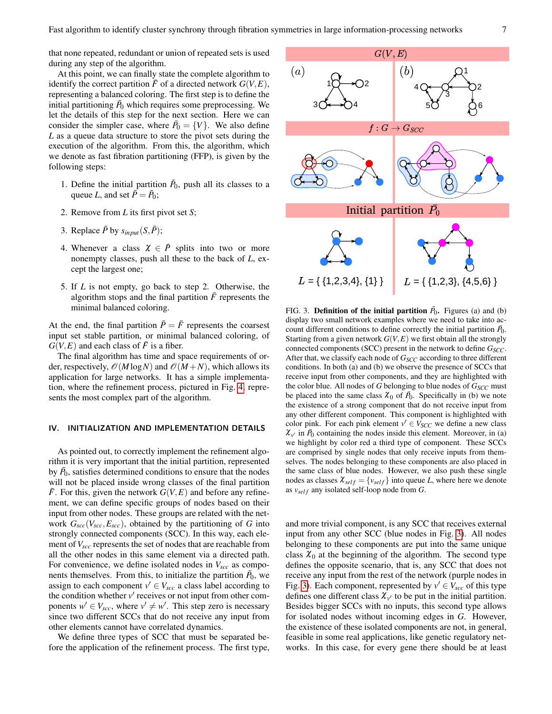that none repeated, redundant or union of repeated sets is used during any step of the algorithm.

At this point, we can finally state the complete algorithm to identify the correct partition  $\bar{F}$  of a directed network  $G(V, E)$ , representing a balanced coloring. The first step is to define the initial partitioning  $\bar{P}_0$  which requires some preprocessing. We let the details of this step for the next section. Here we can consider the simpler case, where  $\bar{P}_0 = \{V\}$ . We also define *L* as a queue data structure to store the pivot sets during the execution of the algorithm. From this, the algorithm, which we denote as fast fibration partitioning (FFP), is given by the following steps:

- 1. Define the initial partition  $\bar{P}_0$ , push all its classes to a queue *L*, and set  $\overline{P} = \overline{P}_0$ ;
- 2. Remove from *L* its first pivot set *S*;
- 3. Replace  $\bar{P}$  by  $s_{input}(S, \bar{P})$ ;
- 4. Whenever a class  $\chi \in \overline{P}$  splits into two or more nonempty classes, push all these to the back of *L*, except the largest one;
- 5. If *L* is not empty, go back to step 2. Otherwise, the algorithm stops and the final partition  $\bar{F}$  represents the minimal balanced coloring.

At the end, the final partition  $\bar{P} = \bar{F}$  represents the coarsest input set stable partition, or minimal balanced coloring, of  $G(V, E)$  and each class of  $\overline{F}$  is a fiber.

The final algorithm has time and space requirements of order, respectively,  $\mathcal{O}(M \log N)$  and  $\mathcal{O}(M+N)$ , which allows its application for large networks. It has a simple implementation, where the refinement process, pictured in Fig. [4,](#page-8-0) represents the most complex part of the algorithm.

#### <span id="page-6-0"></span>IV. INITIALIZATION AND IMPLEMENTATION DETAILS

As pointed out, to correctly implement the refinement algorithm it is very important that the initial partition, represented by  $\bar{P}_0$ , satisfies determined conditions to ensure that the nodes will not be placed inside wrong classes of the final partition *F*. For this, given the network  $G(V, E)$  and before any refinement, we can define specific groups of nodes based on their input from other nodes. These groups are related with the network  $G_{\text{sec}}(V_{\text{sec}}, E_{\text{sec}})$ , obtained by the partitioning of *G* into strongly connected components (SCC). In this way, each element of*Vscc* represents the set of nodes that are reachable from all the other nodes in this same element via a directed path. For convenience, we define isolated nodes in  $V_{\text{src}}$  as components themselves. From this, to initialize the partition  $\bar{P}_0$ , we assign to each component  $v' \in V_{\text{sec}}$  a class label according to the condition whether  $v'$  receives or not input from other components  $w' \in V_{\text{sec}}$ , where  $v' \neq w'$ . This step zero is necessary since two different SCCs that do not receive any input from other elements cannot have correlated dynamics.

We define three types of SCC that must be separated before the application of the refinement process. The first type,



<span id="page-6-1"></span>FIG. 3. **Definition of the initial partition**  $\bar{P}_0$ . Figures (a) and (b) display two small network examples where we need to take into account different conditions to define correctly the initial partition  $\bar{P}_0$ . Starting from a given network  $G(V, E)$  we first obtain all the strongly connected components (SCC) present in the network to define *GSCC*. After that, we classify each node of *G<sub>SCC</sub>* according to three different conditions. In both (a) and (b) we observe the presence of SCCs that receive input from other components, and they are highlighted with the color blue. All nodes of  $G$  belonging to blue nodes of  $G<sub>SCC</sub>$  must be placed into the same class  $\chi_0$  of  $\bar{P}_0$ . Specifically in (b) we note the existence of a strong component that do not receive input from any other different component. This component is highlighted with color pink. For each pink element  $v' \in V_{SCC}$  we define a new class  $\chi_{v'}$  in  $\bar{P}_0$  containing the nodes inside this element. Moreover, in (a) we highlight by color red a third type of component. These SCCs are comprised by single nodes that only receive inputs from themselves. The nodes belonging to these components are also placed in the same class of blue nodes. However, we also push these single nodes as classes  $\mathcal{X}_{self} = \{v_{self}\}\$  into queue *L*, where here we denote as *vsel f* any isolated self-loop node from *G*.

and more trivial component, is any SCC that receives external input from any other SCC (blue nodes in Fig. [3\)](#page-6-1). All nodes belonging to these components are put into the same unique class  $\chi_0$  at the beginning of the algorithm. The second type defines the opposite scenario, that is, any SCC that does not receive any input from the rest of the network (purple nodes in Fig. [3\)](#page-6-1). Each component, represented by  $v' \in V_{\text{sec}}$  of this type defines one different class  $\chi_{v'}$  to be put in the initial partition. Besides bigger SCCs with no inputs, this second type allows for isolated nodes without incoming edges in *G*. However, the existence of these isolated components are not, in general, feasible in some real applications, like genetic regulatory networks. In this case, for every gene there should be at least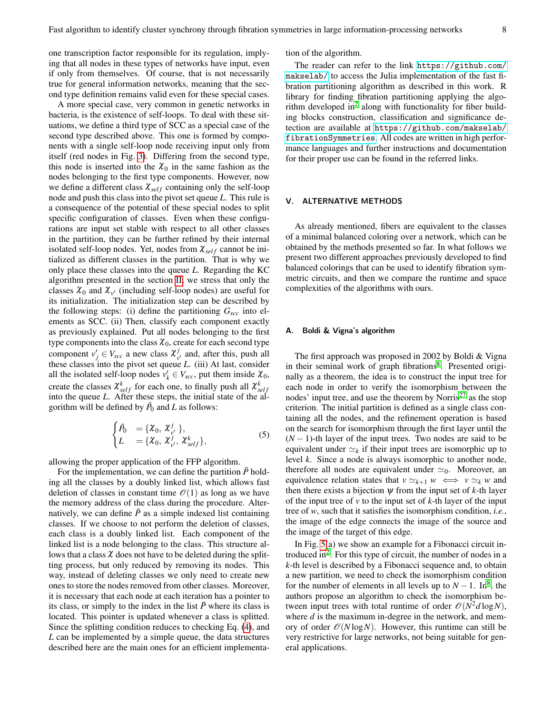one transcription factor responsible for its regulation, implying that all nodes in these types of networks have input, even if only from themselves. Of course, that is not necessarily true for general information networks, meaning that the second type definition remains valid even for these special cases.

A more special case, very common in genetic networks in bacteria, is the existence of self-loops. To deal with these situations, we define a third type of SCC as a special case of the second type described above. This one is formed by components with a single self-loop node receiving input only from itself (red nodes in Fig. [3\)](#page-6-1). Differing from the second type, this node is inserted into the  $\chi_0$  in the same fashion as the nodes belonging to the first type components. However, now we define a different class  $\mathcal{X}_{self}$  containing only the self-loop node and push this class into the pivot set queue *L*. This rule is a consequence of the potential of these special nodes to split specific configuration of classes. Even when these configurations are input set stable with respect to all other classes in the partition, they can be further refined by their internal isolated self-loop nodes. Yet, nodes from  $\chi_{self}$  cannot be initialized as different classes in the partition. That is why we only place these classes into the queue *L*. Regarding the KC algorithm presented in the section [II,](#page-2-0) we stress that only the classes  $\chi_0$  and  $\chi_{v'}$  (including self-loop nodes) are useful for its initialization. The initialization step can be described by the following steps: (i) define the partitioning *Gscc* into elements as SCC. (ii) Then, classify each component exactly as previously explained. Put all nodes belonging to the first type components into the class  $\mathcal{X}_0$ , create for each second type component  $v'_j \in V_{\text{src}}$  a new class  $\chi^j_v$  $v'$  and, after this, push all these classes into the pivot set queue *L*. (iii) At last, consider all the isolated self-loop nodes  $v'_k \in V_{\text{sec}}$ , put them inside  $\chi_0$ , create the classes  $\mathcal{X}_{self}^k$  for each one, to finally push all  $\mathcal{X}_{self}^k$ into the queue *L*. After these steps, the initial state of the algorithm will be defined by  $\bar{P}_0$  and *L* as follows:

$$
\begin{cases}\n\bar{P}_0 &= \{X_0, X_{v'}^j\}, \\
L &= \{X_0, X_{v'}^j, X_{self}^k\},\n\end{cases}
$$
\n(5)

allowing the proper application of the FFP algorithm.

For the implementation, we can define the partition  $\bar{P}$  holding all the classes by a doubly linked list, which allows fast deletion of classes in constant time  $\mathcal{O}(1)$  as long as we have the memory address of the class during the procedure. Alternatively, we can define  $\bar{P}$  as a simple indexed list containing classes. If we choose to not perform the deletion of classes, each class is a doubly linked list. Each component of the linked list is a node belonging to the class. This structure allows that a class  $\chi$  does not have to be deleted during the splitting process, but only reduced by removing its nodes. This way, instead of deleting classes we only need to create new ones to store the nodes removed from other classes. Moreover, it is necessary that each node at each iteration has a pointer to its class, or simply to the index in the list  $\bar{P}$  where its class is located. This pointer is updated whenever a class is splitted. Since the splitting condition reduces to checking Eq. [\(4\)](#page-5-0), and *L* can be implemented by a simple queue, the data structures described here are the main ones for an efficient implementation of the algorithm.

The reader can refer to the link [https://github.com/](https://github.com/makselab/) [makselab/](https://github.com/makselab/) to access the Julia implementation of the fast fibration partitioning algorithm as described in this work. R library for finding fibration partitioning applying the algo-rithm developed in<sup>[2](#page-11-1)</sup> along with functionality for fiber building blocks construction, classification and significance detection are available at [https://github.com/makselab/](https://github.com/makselab/fibrationSymmetries) [fibrationSymmetries](https://github.com/makselab/fibrationSymmetries). All codes are written in high performance languages and further instructions and documentation for their proper use can be found in the referred links.

#### <span id="page-7-0"></span>V. ALTERNATIVE METHODS

As already mentioned, fibers are equivalent to the classes of a minimal balanced coloring over a network, which can be obtained by the methods presented so far. In what follows we present two different approaches previously developed to find balanced colorings that can be used to identify fibration symmetric circuits, and then we compare the runtime and space complexities of the algorithms with ours.

# A. Boldi & Vigna's algorithm

The first approach was proposed in 2002 by Boldi & Vigna in their seminal work of graph fibrations<sup>[8](#page-11-6)</sup>. Presented originally as a theorem, the idea is to construct the input tree for each node in order to verify the isomorphism between the nodes' input tree, and use the theorem by Norris<sup>[27](#page-12-17)</sup> as the stop criterion. The initial partition is defined as a single class containing all the nodes, and the refinement operation is based on the search for isomorphism through the first layer until the  $(N-1)$ -th layer of the input trees. Two nodes are said to be equivalent under  $\simeq_k$  if their input trees are isomorphic up to level *k*. Since a node is always isomorphic to another node, therefore all nodes are equivalent under  $\simeq_0$ . Moreover, an equivalence relation states that  $v \simeq_{k+1} w \iff v \simeq_k w$  and then there exists a bijection  $\psi$  from the input set of  $k$ -th layer of the input tree of *v* to the input set of *k*-th layer of the input tree of *w*, such that it satisfies the isomorphism condition, *i.e.*, the image of the edge connects the image of the source and the image of the target of this edge.

In Fig. [5\(](#page-9-1)a) we show an example for a Fibonacci circuit in-troduced in<sup>[2](#page-11-1)</sup>. For this type of circuit, the number of nodes in a *k*-th level is described by a Fibonacci sequence and, to obtain a new partition, we need to check the isomorphism condition for the number of elements in all levels up to  $N - 1$ . In<sup>[8](#page-11-6)</sup>, the authors propose an algorithm to check the isomorphism between input trees with total runtime of order  $\mathcal{O}(N^2d \log N)$ , where *d* is the maximum in-degree in the network, and memory of order  $\mathcal{O}(N \log N)$ . However, this runtime can still be very restrictive for large networks, not being suitable for general applications.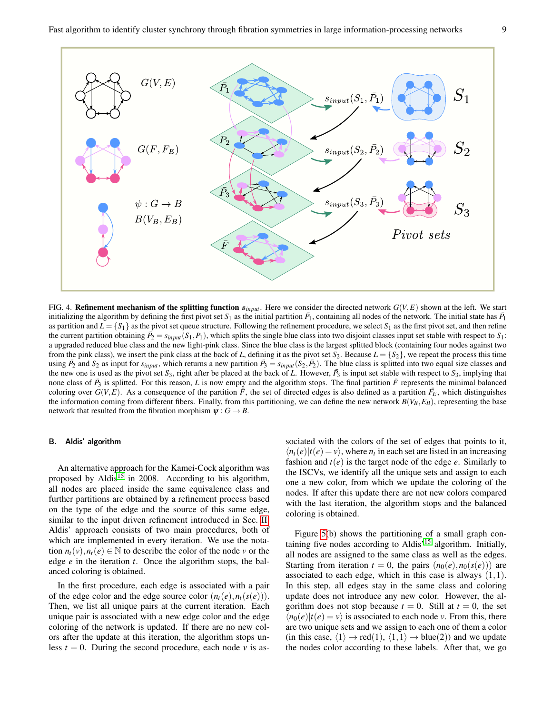

<span id="page-8-0"></span>FIG. 4. **Refinement mechanism of the splitting function**  $s_{input}$ . Here we consider the directed network  $G(V, E)$  shown at the left. We start initializing the algorithm by defining the first pivot set  $S_1$  as the initial partition  $\bar{P_1}$ , containing all nodes of the network. The initial state has  $\bar{P_1}$ as partition and  $L = \{S_1\}$  as the pivot set queue structure. Following the refinement procedure, we select  $S_1$  as the first pivot set, and then refine the current partition obtaining  $\bar{P}_2 = s_{input}(S_1, P_1)$ , which splits the single blue class into two disjoint classes input set stable with respect to  $S_1$ : a upgraded reduced blue class and the new light-pink class. Since the blue class is the largest splitted block (containing four nodes against two from the pink class), we insert the pink class at the back of *L*, defining it as the pivot set  $S_2$ . Because  $L = \{S_2\}$ , we repeat the process this time using  $\bar{P}_2$  and  $S_2$  as input for  $s_{input}$ , which returns a new partition  $\bar{P}_3 = s_{input}(S_2, \bar{P}_2)$ . The blue class is splitted into two equal size classes and the new one is used as the pivot set  $S_3$ , right after be placed at the back of *L*. However,  $\bar{P}_3$  is input set stable with respect to  $S_3$ , implying that none class of  $\bar{P}_3$  is splitted. For this reason, *L* is now empty and the algorithm stops. The final partition  $\bar{F}$  represents the minimal balanced coloring over  $G(V, E)$ . As a consequence of the partition  $\tilde{F}$ , the set of directed edges is also defined as a partition  $\tilde{F}_E$ , which distinguishes the information coming from different fibers. Finally, from this partitioning, we can define the new network  $B(V_B, E_B)$ , representing the base network that resulted from the fibration morphism  $\psi : G \to B$ .

## B. Aldis' algorithm

An alternative approach for the Kamei-Cock algorithm was proposed by Aldis<sup>[15](#page-12-5)</sup> in 2008. According to his algorithm, all nodes are placed inside the same equivalence class and further partitions are obtained by a refinement process based on the type of the edge and the source of this same edge, similar to the input driven refinement introduced in Sec. [II.](#page-2-0) Aldis' approach consists of two main procedures, both of which are implemented in every iteration. We use the notation  $n_t(v)$ ,  $n_t(e) \in \mathbb{N}$  to describe the color of the node *v* or the edge *e* in the iteration *t*. Once the algorithm stops, the balanced coloring is obtained.

In the first procedure, each edge is associated with a pair of the edge color and the edge source color  $(n_t(e), n_t(s(e)))$ . Then, we list all unique pairs at the current iteration. Each unique pair is associated with a new edge color and the edge coloring of the network is updated. If there are no new colors after the update at this iteration, the algorithm stops unless  $t = 0$ . During the second procedure, each node  $v$  is as-

sociated with the colors of the set of edges that points to it,  $\langle n_t(e)|t(e) = v \rangle$ , where  $n_t$  in each set are listed in an increasing fashion and  $t(e)$  is the target node of the edge  $e$ . Similarly to the ISCVs, we identify all the unique sets and assign to each one a new color, from which we update the coloring of the nodes. If after this update there are not new colors compared with the last iteration, the algorithm stops and the balanced coloring is obtained.

Figure [5\(](#page-9-1)b) shows the partitioning of a small graph con-taining five nodes according to Aldis<sup>'[15](#page-12-5)</sup> algorithm. Initially, all nodes are assigned to the same class as well as the edges. Starting from iteration  $t = 0$ , the pairs  $(n_0(e), n_0(s(e)))$  are associated to each edge, which in this case is always  $(1,1)$ . In this step, all edges stay in the same class and coloring update does not introduce any new color. However, the algorithm does not stop because  $t = 0$ . Still at  $t = 0$ , the set  $\langle n_0(e)|t(e) = v \rangle$  is associated to each node *v*. From this, there are two unique sets and we assign to each one of them a color (in this case,  $\langle 1 \rangle \rightarrow \text{red}(1), \langle 1,1 \rangle \rightarrow \text{blue}(2)$ ) and we update the nodes color according to these labels. After that, we go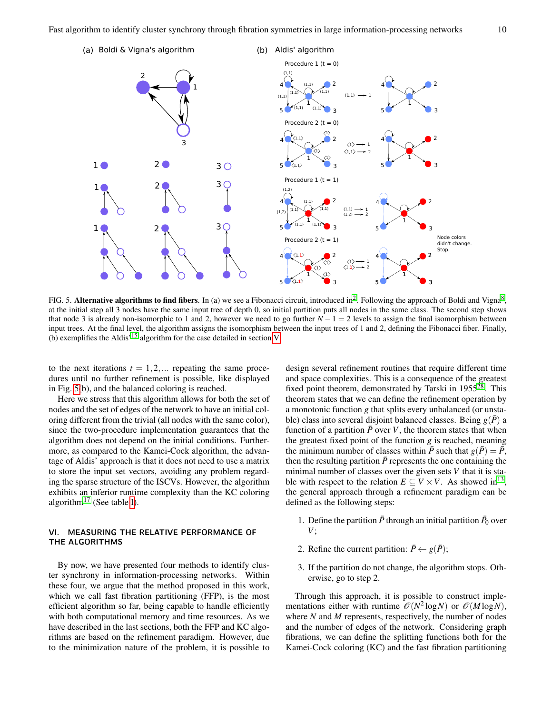

<span id="page-9-1"></span>FIG. 5. Alternative algorithms to find fibers. In (a) we see a Fibonacci circuit, introduced in<sup>[2](#page-11-1)</sup>. Following the approach of Boldi and Vigna<sup>[8](#page-11-6)</sup>, at the initial step all 3 nodes have the same input tree of depth 0, so initial partition puts all nodes in the same class. The second step shows that node 3 is already non-isomorphic to 1 and 2, however we need to go further  $N - 1 = 2$  levels to assign the final isomorphism between input trees. At the final level, the algorithm assigns the isomorphism between the input trees of 1 and 2, defining the Fibonacci fiber. Finally, (b) exemplifies the Aldis'[15](#page-12-5) algorithm for the case detailed in section [V.](#page-7-0)

to the next iterations  $t = 1, 2, \dots$  repeating the same procedures until no further refinement is possible, like displayed in Fig. [5\(](#page-9-1)b), and the balanced coloring is reached.

Here we stress that this algorithm allows for both the set of nodes and the set of edges of the network to have an initial coloring different from the trivial (all nodes with the same color), since the two-procedure implementation guarantees that the algorithm does not depend on the initial conditions. Furthermore, as compared to the Kamei-Cock algorithm, the advantage of Aldis' approach is that it does not need to use a matrix to store the input set vectors, avoiding any problem regarding the sparse structure of the ISCVs. However, the algorithm exhibits an inferior runtime complexity than the KC coloring algorithm<sup>[17](#page-12-6)</sup> (See table [I\)](#page-11-9).

# <span id="page-9-0"></span>VI. MEASURING THE RELATIVE PERFORMANCE OF THE ALGORITHMS

By now, we have presented four methods to identify cluster synchrony in information-processing networks. Within these four, we argue that the method proposed in this work, which we call fast fibration partitioning (FFP), is the most efficient algorithm so far, being capable to handle efficiently with both computational memory and time resources. As we have described in the last sections, both the FFP and KC algorithms are based on the refinement paradigm. However, due to the minimization nature of the problem, it is possible to

design several refinement routines that require different time and space complexities. This is a consequence of the greatest fixed point theorem, demonstrated by Tarski in  $1955^{28}$  $1955^{28}$  $1955^{28}$ . This theorem states that we can define the refinement operation by a monotonic function *g* that splits every unbalanced (or unstable) class into several disjoint balanced classes. Being  $g(\bar{P})$  a function of a partition  $\bar{P}$  over *V*, the theorem states that when the greatest fixed point of the function *g* is reached, meaning the minimum number of classes within  $\bar{P}$  such that  $g(\bar{P}) = \bar{P}$ , then the resulting partition  $\bar{P}$  represents the one containing the minimal number of classes over the given sets *V* that it is stable with respect to the relation  $E \subseteq V \times V$ . As showed in<sup>[13](#page-12-3)</sup>, the general approach through a refinement paradigm can be defined as the following steps:

- 1. Define the partition  $\bar{P}$  through an initial partition  $\bar{P}_0$  over *V*;
- 2. Refine the current partition:  $\bar{P} \leftarrow g(\bar{P});$
- 3. If the partition do not change, the algorithm stops. Otherwise, go to step 2.

Through this approach, it is possible to construct implementations either with runtime  $\mathcal{O}(N^2 \log N)$  or  $\mathcal{O}(M \log N)$ , where *N* and *M* represents, respectively, the number of nodes and the number of edges of the network. Considering graph fibrations, we can define the splitting functions both for the Kamei-Cock coloring (KC) and the fast fibration partitioning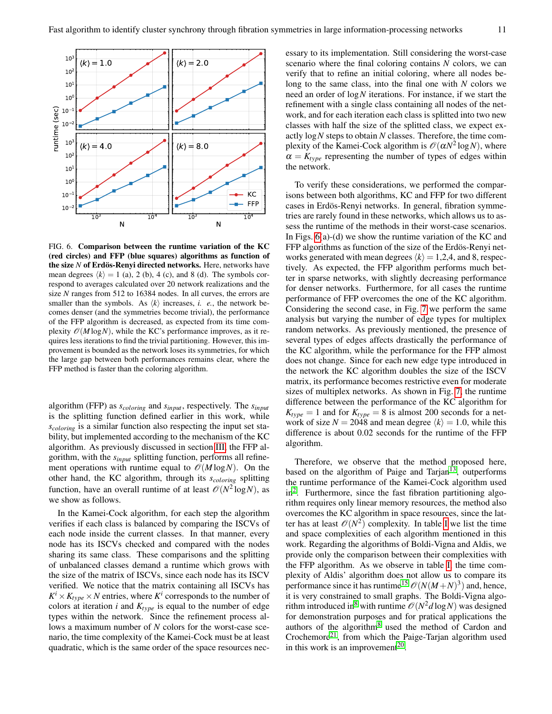

<span id="page-10-0"></span>FIG. 6. Comparison between the runtime variation of the KC (red circles) and FFP (blue squares) algorithms as function of the size *N* of Erdös-Renyi directed networks. Here, networks have mean degrees  $\langle k \rangle = 1$  (a), 2 (b), 4 (c), and 8 (d). The symbols correspond to averages calculated over 20 network realizations and the size *N* ranges from 512 to 16384 nodes. In all curves, the errors are smaller than the symbols. As  $\langle k \rangle$  increases, *i. e.*, the network becomes denser (and the symmetries become trivial), the performance of the FFP algorithm is decreased, as expected from its time complexity  $\mathcal{O}(M \log N)$ , while the KC's performance improves, as it requires less iterations to find the trivial partitioning. However, this improvement is bounded as the network loses its symmetries, for which the large gap between both performances remains clear, where the FFP method is faster than the coloring algorithm.

algorithm (FFP) as *scoloring* and *sinput*, respectively. The *sinput* is the splitting function defined earlier in this work, while *scoloring* is a similar function also respecting the input set stability, but implemented according to the mechanism of the KC algorithm. As previously discussed in section [III,](#page-3-0) the FFP algorithm, with the *sinput* splitting function, performs all refinement operations with runtime equal to  $\mathcal{O}(M \log N)$ . On the other hand, the KC algorithm, through its *scoloring* splitting function, have an overall runtime of at least  $\mathcal{O}(N^2 \log N)$ , as we show as follows.

In the Kamei-Cock algorithm, for each step the algorithm verifies if each class is balanced by comparing the ISCVs of each node inside the current classes. In that manner, every node has its ISCVs checked and compared with the nodes sharing its same class. These comparisons and the splitting of unbalanced classes demand a runtime which grows with the size of the matrix of ISCVs, since each node has its ISCV verified. We notice that the matrix containing all ISCVs has  $K^i \times K_{type} \times N$  entries, where  $K^i$  corresponds to the number of colors at iteration  $i$  and  $K_{type}$  is equal to the number of edge types within the network. Since the refinement process allows a maximum number of *N* colors for the worst-case scenario, the time complexity of the Kamei-Cock must be at least quadratic, which is the same order of the space resources necessary to its implementation. Still considering the worst-case scenario where the final coloring contains *N* colors, we can verify that to refine an initial coloring, where all nodes belong to the same class, into the final one with *N* colors we need an order of log*N* iterations. For instance, if we start the refinement with a single class containing all nodes of the network, and for each iteration each class is splitted into two new classes with half the size of the splitted class, we expect exactly log*N* steps to obtain *N* classes. Therefore, the time complexity of the Kamei-Cock algorithm is  $\mathcal{O}(\alpha N^2 \log N)$ , where  $\alpha = K_{type}$  representing the number of types of edges within the network.

To verify these considerations, we performed the comparisons between both algorithms, KC and FFP for two different cases in Erdös-Renyi networks. In general, fibration symmetries are rarely found in these networks, which allows us to assess the runtime of the methods in their worst-case scenarios. In Figs. [6\(](#page-10-0)a)-(d) we show the runtime variation of the KC and FFP algorithms as function of the size of the Erdös-Renyi networks generated with mean degrees  $\langle k \rangle = 1,2,4$ , and 8, respectively. As expected, the FFP algorithm performs much better in sparse networks, with slightly decreasing performance for denser networks. Furthermore, for all cases the runtime performance of FFP overcomes the one of the KC algorithm. Considering the second case, in Fig. [7](#page-11-10) we perform the same analysis but varying the number of edge types for multiplex random networks. As previously mentioned, the presence of several types of edges affects drastically the performance of the KC algorithm, while the performance for the FFP almost does not change. Since for each new edge type introduced in the network the KC algorithm doubles the size of the ISCV matrix, its performance becomes restrictive even for moderate sizes of multiplex networks. As shown in Fig. [7,](#page-11-10) the runtime difference between the performance of the KC algorithm for  $K_{type} = 1$  and for  $K_{type} = 8$  is almost 200 seconds for a network of size  $N = 2048$  and mean degree  $\langle k \rangle = 1.0$ , while this difference is about 0.02 seconds for the runtime of the FFP algorithm.

Therefore, we observe that the method proposed here, based on the algorithm of Paige and Tarjan<sup>[13](#page-12-3)</sup>, outperforms the runtime performance of the Kamei-Cock algorithm used in<sup>[2](#page-11-1)</sup>. Furthermore, since the fast fibration partitioning algorithm requires only linear memory resources, the method also overcomes the KC algorithm in space resources, since the latter has at least  $\mathcal{O}(N^2)$  complexity. [I](#page-11-9)n table I we list the time and space complexities of each algorithm mentioned in this work. Regarding the algorithms of Boldi-Vigna and Aldis, we provide only the comparison between their complexities with the FFP algorithm. As we observe in table [I,](#page-11-9) the time complexity of Aldis' algorithm does not allow us to compare its performance since it has runtime<sup>[15](#page-12-5)</sup>  $\mathcal{O}(N(M+N)^3)$  and, hence, it is very constrained to small graphs. The Boldi-Vigna algo-rithm introduced in<sup>[8](#page-11-6)</sup> with runtime  $\mathscr{O}(N^2d\log N)$  was designed for demonstration purposes and for pratical applications the authors of the algorithm<sup>[8](#page-11-6)</sup> used the method of Cardon and Crochemore<sup>[21](#page-12-11)</sup>, from which the Paige-Tarjan algorithm used in this work is an improvement<sup>[20](#page-12-10)</sup>.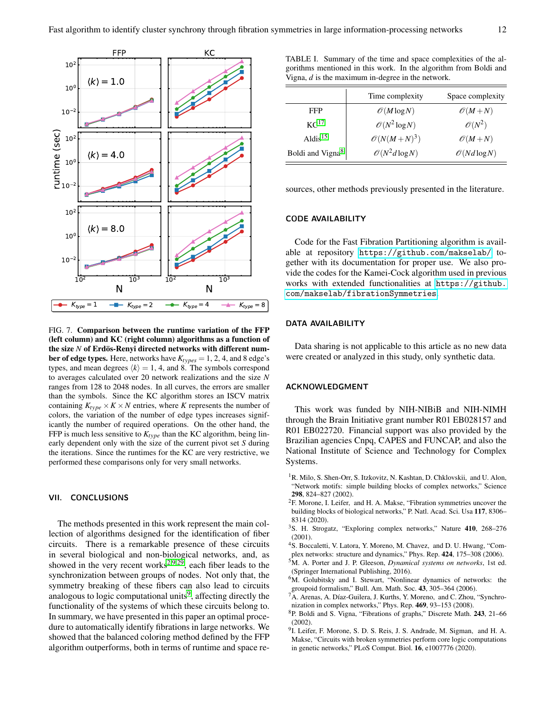

<span id="page-11-10"></span>FIG. 7. Comparison between the runtime variation of the FFP (left column) and KC (right column) algorithms as a function of the size *N* of Erdös-Renyi directed networks with different num**ber of edge types.** Here, networks have  $K_{types} = 1, 2, 4$ , and 8 edge's types, and mean degrees  $\langle k \rangle = 1$ , 4, and 8. The symbols correspond to averages calculated over 20 network realizations and the size *N* ranges from 128 to 2048 nodes. In all curves, the errors are smaller than the symbols. Since the KC algorithm stores an ISCV matrix containing  $K_{type} \times K \times N$  entries, where *K* represents the number of colors, the variation of the number of edge types increases significantly the number of required operations. On the other hand, the FFP is much less sensitive to  $K_{type}$  than the KC algorithm, being linearly dependent only with the size of the current pivot set *S* during the iterations. Since the runtimes for the KC are very restrictive, we performed these comparisons only for very small networks.

#### <span id="page-11-8"></span>VII. CONCLUSIONS

The methods presented in this work represent the main collection of algorithms designed for the identification of fiber circuits. There is a remarkable presence of these circuits in several biological and non-biological networks, and, as showed in the very recent works<sup>[2](#page-11-1)[,9](#page-11-7)[,29](#page-12-19)</sup>, each fiber leads to the synchronization between groups of nodes. Not only that, the symmetry breaking of these fibers can also lead to circuits analogous to logic computational units<sup>[9](#page-11-7)</sup>, affecting directly the functionality of the systems of which these circuits belong to. In summary, we have presented in this paper an optimal procedure to automatically identify fibrations in large networks. We showed that the balanced coloring method defined by the FFP algorithm outperforms, both in terms of runtime and space re-

<span id="page-11-9"></span>TABLE I. Summary of the time and space complexities of the algorithms mentioned in this work. In the algorithm from Boldi and Vigna, *d* is the maximum in-degree in the network.

|                              | Time complexity           | Space complexity         |
|------------------------------|---------------------------|--------------------------|
| FFP                          | $\mathcal{O}(M \log N)$   | $\mathscr{O}(M+N)$       |
| KC <sup>17</sup>             | $\mathcal{O}(N^2 \log N)$ | $\mathcal{O}(N^2)$       |
| $Aldis$ <sup>15</sup>        | $\mathcal{O}(N(M+N)^3)$   | $\mathscr{O}(M+N)$       |
| Boldi and Vigna <sup>8</sup> | $\mathcal{O}(N^2d\log N)$ | $\mathcal{O}(Nd \log N)$ |

sources, other methods previously presented in the literature.

# CODE AVAILABILITY

Code for the Fast Fibration Partitioning algorithm is available at repository <https://github.com/makselab/> together with its documentation for proper use. We also provide the codes for the Kamei-Cock algorithm used in previous works with extended functionalities at [https://github.](https://github.com/makselab/ fibrationSymmetries) [com/makselab/fibrationSymmetries](https://github.com/makselab/ fibrationSymmetries).

## DATA AVAILABILITY

Data sharing is not applicable to this article as no new data were created or analyzed in this study, only synthetic data.

## ACKNOWLEDGMENT

This work was funded by NIH-NIBiB and NIH-NIMH through the Brain Initiative grant number R01 EB028157 and R01 EB022720. Financial support was also provided by the Brazilian agencies Cnpq, CAPES and FUNCAP, and also the National Institute of Science and Technology for Complex Systems.

- <span id="page-11-0"></span><sup>1</sup>R. Milo, S. Shen-Orr, S. Itzkovitz, N. Kashtan, D. Chklovskii, and U. Alon, "Network motifs: simple building blocks of complex networks," Science 298, 824–827 (2002).
- <span id="page-11-1"></span> ${}^{2}$ F. Morone, I. Leifer, and H. A. Makse, "Fibration symmetries uncover the building blocks of biological networks," P. Natl. Acad. Sci. Usa 117, 8306– 8314 (2020).
- <span id="page-11-2"></span><sup>3</sup>S. H. Strogatz, "Exploring complex networks," Nature 410, 268–276 (2001).
- <sup>4</sup>S. Boccaletti, V. Latora, Y. Moreno, M. Chavez, and D. U. Hwang, "Com-
- plex networks: structure and dynamics," Phys. Rep. 424, 175–308 (2006).
- <span id="page-11-3"></span><sup>5</sup>M. A. Porter and J. P. Gleeson, *Dynamical systems on networks*, 1st ed. (Springer International Publishing, 2016).
- <span id="page-11-4"></span><sup>6</sup>M. Golubitsky and I. Stewart, "Nonlinear dynamics of networks: the groupoid formalism," Bull. Am. Math. Soc. 43, 305–364 (2006).
- <span id="page-11-5"></span><sup>7</sup>A. Arenas, A. Díaz-Guilera, J. Kurths, Y. Moreno, and C. Zhou, "Synchronization in complex networks," Phys. Rep. 469, 93–153 (2008).
- <span id="page-11-6"></span><sup>8</sup>P. Boldi and S. Vigna, "Fibrations of graphs," Discrete Math. 243, 21–66 (2002).
- <span id="page-11-7"></span><sup>9</sup>I. Leifer, F. Morone, S. D. S. Reis, J. S. Andrade, M. Sigman, and H. A. Makse, "Circuits with broken symmetries perform core logic computations in genetic networks," PLoS Comput. Biol. 16, e1007776 (2020).